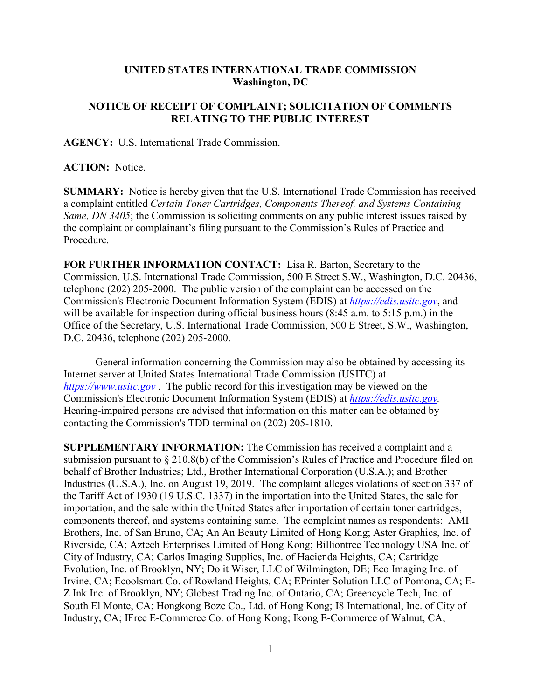## **UNITED STATES INTERNATIONAL TRADE COMMISSION Washington, DC**

## **NOTICE OF RECEIPT OF COMPLAINT; SOLICITATION OF COMMENTS RELATING TO THE PUBLIC INTEREST**

**AGENCY:** U.S. International Trade Commission.

**ACTION:** Notice.

**SUMMARY:** Notice is hereby given that the U.S. International Trade Commission has received a complaint entitled *Certain Toner Cartridges, Components Thereof, and Systems Containing Same, DN 3405*; the Commission is soliciting comments on any public interest issues raised by the complaint or complainant's filing pursuant to the Commission's Rules of Practice and Procedure.

**FOR FURTHER INFORMATION CONTACT:** Lisa R. Barton, Secretary to the Commission, U.S. International Trade Commission, 500 E Street S.W., Washington, D.C. 20436, telephone (202) 205-2000. The public version of the complaint can be accessed on the Commission's Electronic Document Information System (EDIS) at *[https://edis.usitc.gov](https://edis.usitc.gov/)*, and will be available for inspection during official business hours (8:45 a.m. to 5:15 p.m.) in the Office of the Secretary, U.S. International Trade Commission, 500 E Street, S.W., Washington, D.C. 20436, telephone (202) 205-2000.

General information concerning the Commission may also be obtained by accessing its Internet server at United States International Trade Commission (USITC) at *[https://www.usitc.gov](https://www.usitc.gov/)* . The public record for this investigation may be viewed on the Commission's Electronic Document Information System (EDIS) at *[https://edis.usitc.gov.](https://edis.usitc.gov/)* Hearing-impaired persons are advised that information on this matter can be obtained by contacting the Commission's TDD terminal on (202) 205-1810.

**SUPPLEMENTARY INFORMATION:** The Commission has received a complaint and a submission pursuant to § 210.8(b) of the Commission's Rules of Practice and Procedure filed on behalf of Brother Industries; Ltd., Brother International Corporation (U.S.A.); and Brother Industries (U.S.A.), Inc. on August 19, 2019. The complaint alleges violations of section 337 of the Tariff Act of 1930 (19 U.S.C. 1337) in the importation into the United States, the sale for importation, and the sale within the United States after importation of certain toner cartridges, components thereof, and systems containing same. The complaint names as respondents: AMI Brothers, Inc. of San Bruno, CA; An An Beauty Limited of Hong Kong; Aster Graphics, Inc. of Riverside, CA; Aztech Enterprises Limited of Hong Kong; Billiontree Technology USA Inc. of City of Industry, CA; Carlos Imaging Supplies, Inc. of Hacienda Heights, CA; Cartridge Evolution, Inc. of Brooklyn, NY; Do it Wiser, LLC of Wilmington, DE; Eco Imaging Inc. of Irvine, CA; Ecoolsmart Co. of Rowland Heights, CA; EPrinter Solution LLC of Pomona, CA; E-Z Ink Inc. of Brooklyn, NY; Globest Trading Inc. of Ontario, CA; Greencycle Tech, Inc. of South El Monte, CA; Hongkong Boze Co., Ltd. of Hong Kong; I8 International, Inc. of City of Industry, CA; IFree E-Commerce Co. of Hong Kong; Ikong E-Commerce of Walnut, CA;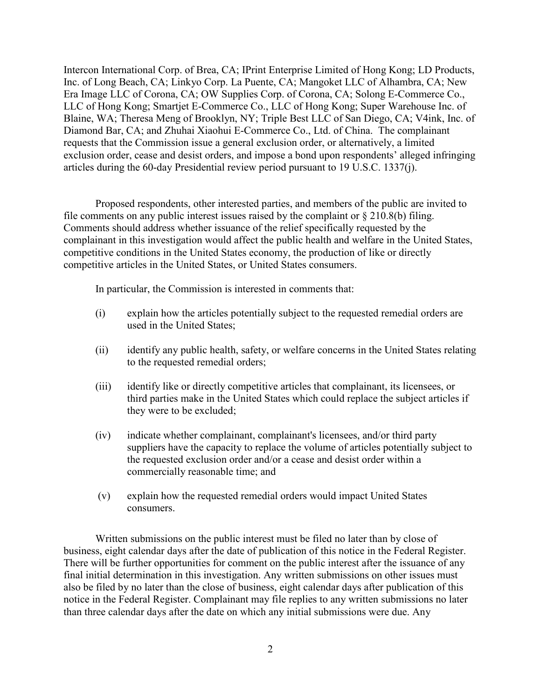Intercon International Corp. of Brea, CA; IPrint Enterprise Limited of Hong Kong; LD Products, Inc. of Long Beach, CA; Linkyo Corp. La Puente, CA; Mangoket LLC of Alhambra, CA; New Era Image LLC of Corona, CA; OW Supplies Corp. of Corona, CA; Solong E-Commerce Co., LLC of Hong Kong; Smartjet E-Commerce Co., LLC of Hong Kong; Super Warehouse Inc. of Blaine, WA; Theresa Meng of Brooklyn, NY; Triple Best LLC of San Diego, CA; V4ink, Inc. of Diamond Bar, CA; and Zhuhai Xiaohui E-Commerce Co., Ltd. of China. The complainant requests that the Commission issue a general exclusion order, or alternatively, a limited exclusion order, cease and desist orders, and impose a bond upon respondents' alleged infringing articles during the 60-day Presidential review period pursuant to 19 U.S.C. 1337(j).

Proposed respondents, other interested parties, and members of the public are invited to file comments on any public interest issues raised by the complaint or  $\S 210.8(b)$  filing. Comments should address whether issuance of the relief specifically requested by the complainant in this investigation would affect the public health and welfare in the United States, competitive conditions in the United States economy, the production of like or directly competitive articles in the United States, or United States consumers.

In particular, the Commission is interested in comments that:

- (i) explain how the articles potentially subject to the requested remedial orders are used in the United States;
- (ii) identify any public health, safety, or welfare concerns in the United States relating to the requested remedial orders;
- (iii) identify like or directly competitive articles that complainant, its licensees, or third parties make in the United States which could replace the subject articles if they were to be excluded;
- (iv) indicate whether complainant, complainant's licensees, and/or third party suppliers have the capacity to replace the volume of articles potentially subject to the requested exclusion order and/or a cease and desist order within a commercially reasonable time; and
- (v) explain how the requested remedial orders would impact United States consumers.

Written submissions on the public interest must be filed no later than by close of business, eight calendar days after the date of publication of this notice in the Federal Register. There will be further opportunities for comment on the public interest after the issuance of any final initial determination in this investigation. Any written submissions on other issues must also be filed by no later than the close of business, eight calendar days after publication of this notice in the Federal Register. Complainant may file replies to any written submissions no later than three calendar days after the date on which any initial submissions were due. Any